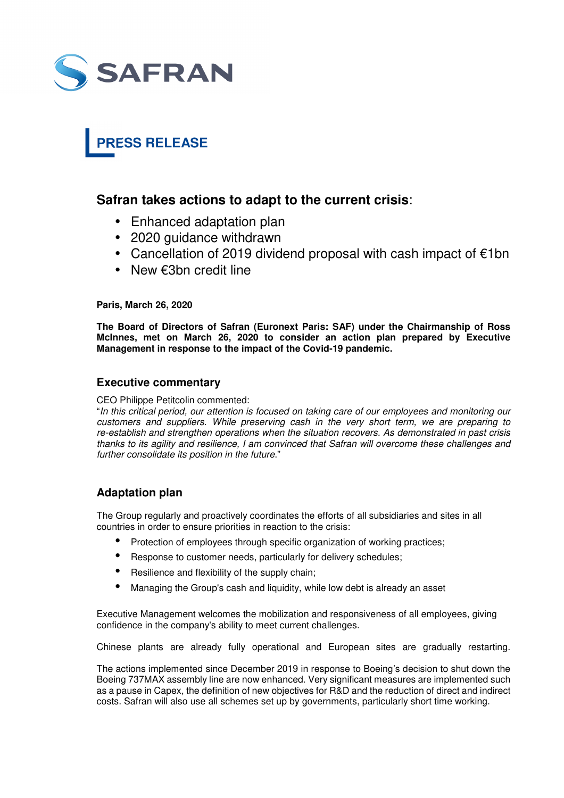

# **PRESS RELEASE**

## **Safran takes actions to adapt to the current crisis**:

- Enhanced adaptation plan
- 2020 guidance withdrawn
- Cancellation of 2019 dividend proposal with cash impact of €1bn
- New €3bn credit line

#### **Paris, March 26, 2020**

**The Board of Directors of Safran (Euronext Paris: SAF) under the Chairmanship of Ross McInnes, met on March 26, 2020 to consider an action plan prepared by Executive Management in response to the impact of the Covid-19 pandemic.**

#### **Executive commentary**

CEO Philippe Petitcolin commented:

"*In this critical period, our attention is focused on taking care of our employees and monitoring our customers and suppliers. While preserving cash in the very short term, we are preparing to re-establish and strengthen operations when the situation recovers. As demonstrated in past crisis thanks to its agility and resilience, I am convinced that Safran will overcome these challenges and further consolidate its position in the future*."

## **Adaptation plan**

The Group regularly and proactively coordinates the efforts of all subsidiaries and sites in all countries in order to ensure priorities in reaction to the crisis:

- Protection of employees through specific organization of working practices;
- Response to customer needs, particularly for delivery schedules;
- Resilience and flexibility of the supply chain;
- Managing the Group's cash and liquidity, while low debt is already an asset

Executive Management welcomes the mobilization and responsiveness of all employees, giving confidence in the company's ability to meet current challenges.

Chinese plants are already fully operational and European sites are gradually restarting.

The actions implemented since December 2019 in response to Boeing's decision to shut down the Boeing 737MAX assembly line are now enhanced. Very significant measures are implemented such as a pause in Capex, the definition of new objectives for R&D and the reduction of direct and indirect costs. Safran will also use all schemes set up by governments, particularly short time working.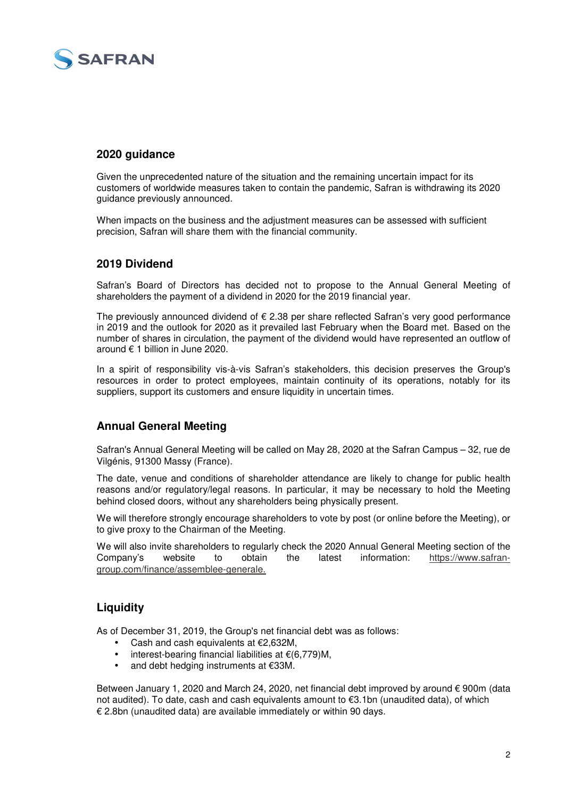

## **2020 guidance**

Given the unprecedented nature of the situation and the remaining uncertain impact for its customers of worldwide measures taken to contain the pandemic, Safran is withdrawing its 2020 guidance previously announced.

When impacts on the business and the adjustment measures can be assessed with sufficient precision, Safran will share them with the financial community.

#### **2019 Dividend**

Safran's Board of Directors has decided not to propose to the Annual General Meeting of shareholders the payment of a dividend in 2020 for the 2019 financial year.

The previously announced dividend of  $\epsilon$  2.38 per share reflected Safran's very good performance in 2019 and the outlook for 2020 as it prevailed last February when the Board met. Based on the number of shares in circulation, the payment of the dividend would have represented an outflow of around € 1 billion in June 2020.

In a spirit of responsibility vis-à-vis Safran's stakeholders, this decision preserves the Group's resources in order to protect employees, maintain continuity of its operations, notably for its suppliers, support its customers and ensure liquidity in uncertain times.

## **Annual General Meeting**

Safran's Annual General Meeting will be called on May 28, 2020 at the Safran Campus – 32, rue de Vilgénis, 91300 Massy (France).

The date, venue and conditions of shareholder attendance are likely to change for public health reasons and/or regulatory/legal reasons. In particular, it may be necessary to hold the Meeting behind closed doors, without any shareholders being physically present.

We will therefore strongly encourage shareholders to vote by post (or online before the Meeting), or to give proxy to the Chairman of the Meeting.

We will also invite shareholders to regularly check the 2020 Annual General Meeting section of the Company's website to obtain the latest information: https://www.safrangroup.com/finance/assemblee-generale.

## **Liquidity**

As of December 31, 2019, the Group's net financial debt was as follows:

- Cash and cash equivalents at €2,632M,
- interest-bearing financial liabilities at €(6,779)M,
- and debt hedging instruments at €33M.

Between January 1, 2020 and March 24, 2020, net financial debt improved by around € 900m (data not audited). To date, cash and cash equivalents amount to €3.1bn (unaudited data), of which € 2.8bn (unaudited data) are available immediately or within 90 days.